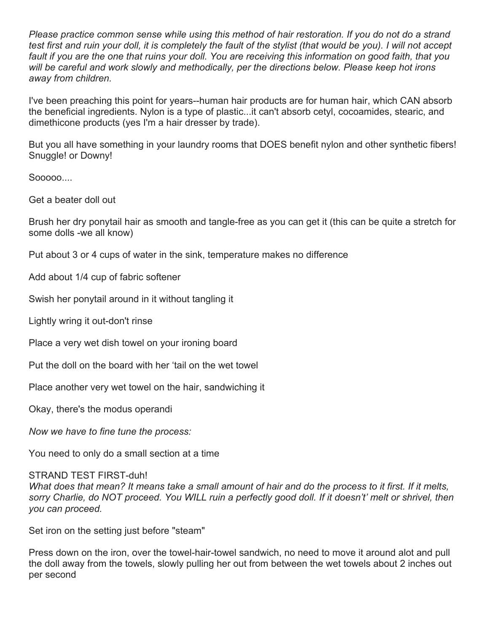*Please practice common sense while using this method of hair restoration. If you do not do a strand test first and ruin your doll, it is completely the fault of the stylist (that would be you). I will not accept fault if you are the one that ruins your doll. You are receiving this information on good faith, that you will be careful and work slowly and methodically, per the directions below. Please keep hot irons away from children.* 

I've been preaching this point for years--human hair products are for human hair, which CAN absorb the beneficial ingredients. Nylon is a type of plastic...it can't absorb cetyl, cocoamides, stearic, and dimethicone products (yes I'm a hair dresser by trade).

But you all have something in your laundry rooms that DOES benefit nylon and other synthetic fibers! Snuggle! or Downy!

Sooooo....

Get a beater doll out

Brush her dry ponytail hair as smooth and tangle-free as you can get it (this can be quite a stretch for some dolls -we all know)

Put about 3 or 4 cups of water in the sink, temperature makes no difference

Add about 1/4 cup of fabric softener

Swish her ponytail around in it without tangling it

Lightly wring it out-don't rinse

Place a very wet dish towel on your ironing board

Put the doll on the board with her 'tail on the wet towel

Place another very wet towel on the hair, sandwiching it

Okay, there's the modus operandi

*Now we have to fine tune the process:*

You need to only do a small section at a time

## STRAND TEST FIRST-duh!

*What does that mean? It means take a small amount of hair and do the process to it first. If it melts,*  sorry Charlie, do NOT proceed. You WILL ruin a perfectly good doll. If it doesn't' melt or shrivel, then *you can proceed.* 

Set iron on the setting just before "steam"

Press down on the iron, over the towel-hair-towel sandwich, no need to move it around alot and pull the doll away from the towels, slowly pulling her out from between the wet towels about 2 inches out per second